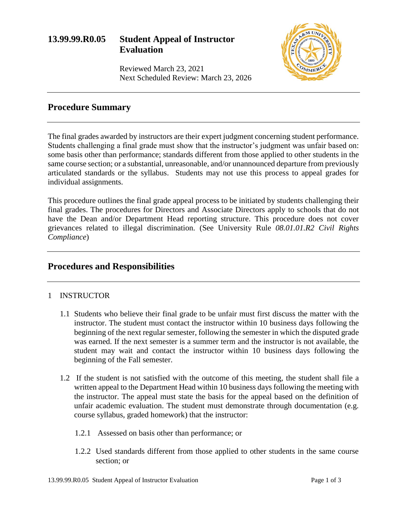# **13.99.99.R0.05 Student Appeal of Instructor Evaluation**



Reviewed March 23, 2021 Next Scheduled Review: March 23, 2026

## **Procedure Summary**

The final grades awarded by instructors are their expert judgment concerning student performance. Students challenging a final grade must show that the instructor's judgment was unfair based on: some basis other than performance; standards different from those applied to other students in the same course section; or a substantial, unreasonable, and/or unannounced departure from previously articulated standards or the syllabus. Students may not use this process to appeal grades for individual assignments.

This procedure outlines the final grade appeal process to be initiated by students challenging their final grades. The procedures for Directors and Associate Directors apply to schools that do not have the Dean and/or Department Head reporting structure. This procedure does not cover grievances related to illegal discrimination. (See University Rule *08.01.01.R2 Civil Rights Compliance*)

### **Procedures and Responsibilities**

### 1 INSTRUCTOR

- 1.1 Students who believe their final grade to be unfair must first discuss the matter with the instructor. The student must contact the instructor within 10 business days following the beginning of the next regular semester, following the semester in which the disputed grade was earned. If the next semester is a summer term and the instructor is not available, the student may wait and contact the instructor within 10 business days following the beginning of the Fall semester.
- 1.2 If the student is not satisfied with the outcome of this meeting, the student shall file a written appeal to the Department Head within 10 business days following the meeting with the instructor. The appeal must state the basis for the appeal based on the definition of unfair academic evaluation. The student must demonstrate through documentation (e.g. course syllabus, graded homework) that the instructor:
	- 1.2.1 Assessed on basis other than performance; or
	- 1.2.2 Used standards different from those applied to other students in the same course section; or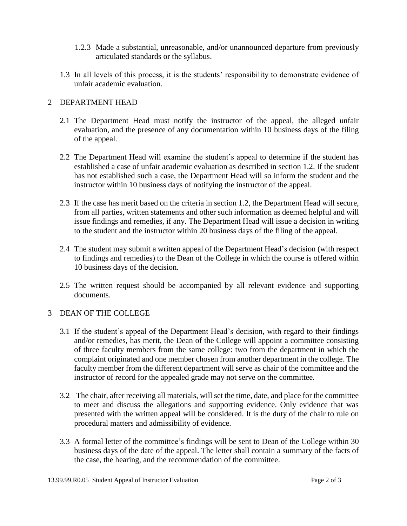- 1.2.3 Made a substantial, unreasonable, and/or unannounced departure from previously articulated standards or the syllabus.
- 1.3 In all levels of this process, it is the students' responsibility to demonstrate evidence of unfair academic evaluation.

### 2 DEPARTMENT HEAD

- 2.1 The Department Head must notify the instructor of the appeal, the alleged unfair evaluation, and the presence of any documentation within 10 business days of the filing of the appeal.
- 2.2 The Department Head will examine the student's appeal to determine if the student has established a case of unfair academic evaluation as described in section 1.2. If the student has not established such a case, the Department Head will so inform the student and the instructor within 10 business days of notifying the instructor of the appeal.
- 2.3 If the case has merit based on the criteria in section 1.2, the Department Head will secure, from all parties, written statements and other such information as deemed helpful and will issue findings and remedies, if any. The Department Head will issue a decision in writing to the student and the instructor within 20 business days of the filing of the appeal.
- 2.4 The student may submit a written appeal of the Department Head's decision (with respect to findings and remedies) to the Dean of the College in which the course is offered within 10 business days of the decision.
- 2.5 The written request should be accompanied by all relevant evidence and supporting documents.

#### 3 DEAN OF THE COLLEGE

- 3.1 If the student's appeal of the Department Head's decision, with regard to their findings and/or remedies, has merit, the Dean of the College will appoint a committee consisting of three faculty members from the same college: two from the department in which the complaint originated and one member chosen from another department in the college. The faculty member from the different department will serve as chair of the committee and the instructor of record for the appealed grade may not serve on the committee.
- 3.2 The chair, after receiving all materials, will set the time, date, and place for the committee to meet and discuss the allegations and supporting evidence. Only evidence that was presented with the written appeal will be considered. It is the duty of the chair to rule on procedural matters and admissibility of evidence.
- 3.3 A formal letter of the committee's findings will be sent to Dean of the College within 30 business days of the date of the appeal. The letter shall contain a summary of the facts of the case, the hearing, and the recommendation of the committee.